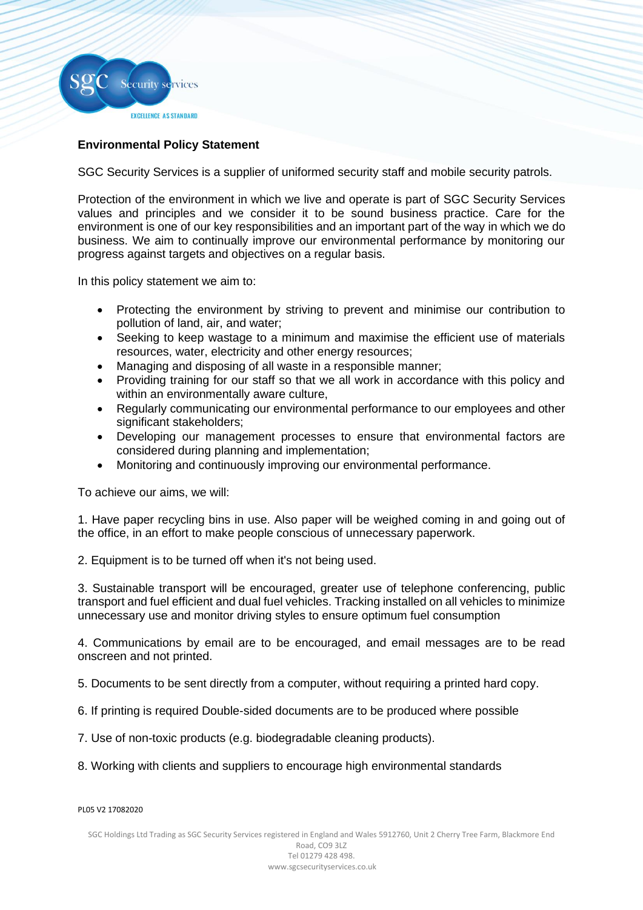

## **Environmental Policy Statement**

SGC Security Services is a supplier of uniformed security staff and mobile security patrols.

Protection of the environment in which we live and operate is part of SGC Security Services values and principles and we consider it to be sound business practice. Care for the environment is one of our key responsibilities and an important part of the way in which we do business. We aim to continually improve our environmental performance by monitoring our progress against targets and objectives on a regular basis.

In this policy statement we aim to:

- Protecting the environment by striving to prevent and minimise our contribution to pollution of land, air, and water;
- Seeking to keep wastage to a minimum and maximise the efficient use of materials resources, water, electricity and other energy resources;
- Managing and disposing of all waste in a responsible manner;
- Providing training for our staff so that we all work in accordance with this policy and within an environmentally aware culture.
- Regularly communicating our environmental performance to our employees and other significant stakeholders;
- Developing our management processes to ensure that environmental factors are considered during planning and implementation;
- Monitoring and continuously improving our environmental performance.

To achieve our aims, we will:

1. Have paper recycling bins in use. Also paper will be weighed coming in and going out of the office, in an effort to make people conscious of unnecessary paperwork.

2. Equipment is to be turned off when it's not being used.

3. Sustainable transport will be encouraged, greater use of telephone conferencing, public transport and fuel efficient and dual fuel vehicles. Tracking installed on all vehicles to minimize unnecessary use and monitor driving styles to ensure optimum fuel consumption

4. Communications by email are to be encouraged, and email messages are to be read onscreen and not printed.

5. Documents to be sent directly from a computer, without requiring a printed hard copy.

- 6. If printing is required Double-sided documents are to be produced where possible
- 7. Use of non-toxic products (e.g. biodegradable cleaning products).
- 8. Working with clients and suppliers to encourage high environmental standards

## PL05 V2 17082020